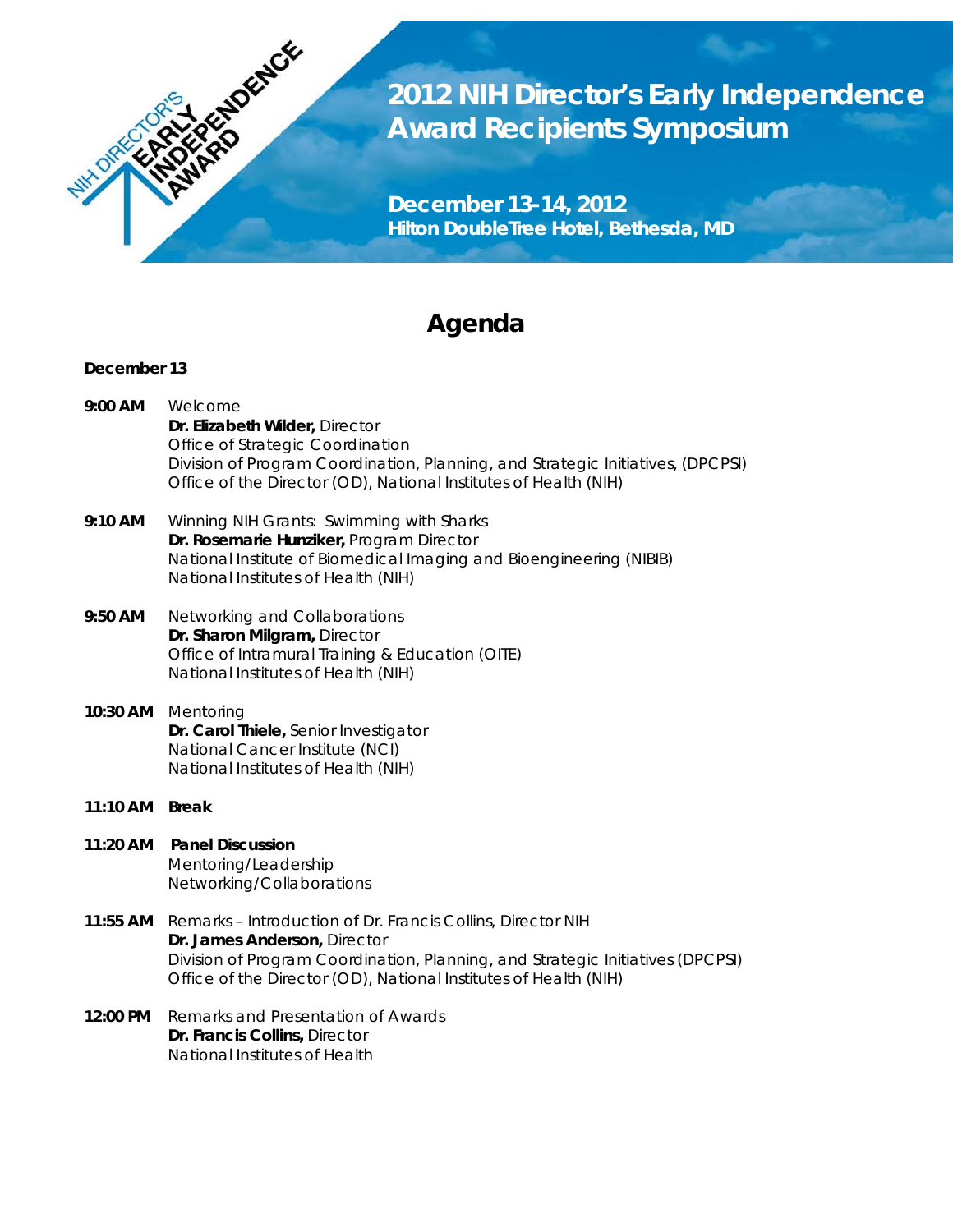

**2012 NIH Director's Early Independence Award Recipients Symposium**

**December 13-14, 2012 Hilton DoubleTree Hotel, Bethesda, MD**

# **Agenda**

## **December 13**

- **9:00 AM** *Welcome*  **Dr. Elizabeth Wilder,** Director Office of Strategic Coordination Division of Program Coordination, Planning, and Strategic Initiatives, (DPCPSI) Office of the Director (OD), National Institutes of Health (NIH)
- **9:10 AM** *Winning NIH Grants: Swimming with Sharks* **Dr. Rosemarie Hunziker,** Program Director National Institute of Biomedical Imaging and Bioengineering (NIBIB) National Institutes of Health (NIH)
- **9:50 AM** *Networking and Collaborations* **Dr. Sharon Milgram,** Director Office of Intramural Training & Education (OITE) National Institutes of Health (NIH)
- **10:30 AM** *Mentoring*  **Dr. Carol Thiele,** Senior Investigator National Cancer Institute (NCI) National Institutes of Health (NIH)
- **11:10 AM Break**
- **11:20 AM Panel Discussion** Mentoring/Leadership Networking/Collaborations
- **11:55 AM** *Remarks – Introduction of Dr. Francis Collins, Director NIH* **Dr. James Anderson,** Director Division of Program Coordination, Planning, and Strategic Initiatives (DPCPSI) Office of the Director (OD), National Institutes of Health (NIH)
- **12:00 PM** *Remarks and Presentation of Awards* **Dr. Francis Collins,** Director National Institutes of Health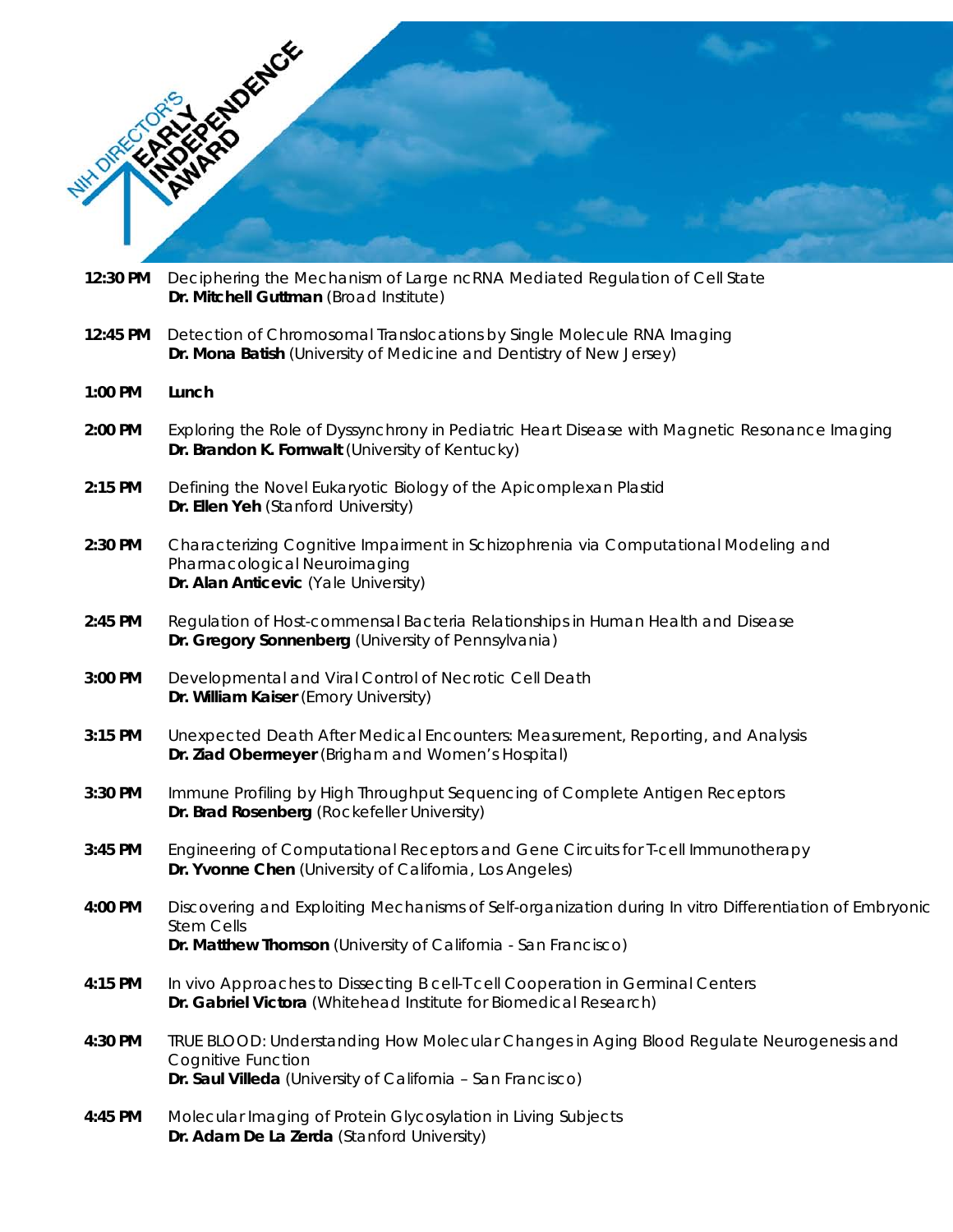|          | <b>RUNARYO ENGIN</b>                                                                                                                                                                 |
|----------|--------------------------------------------------------------------------------------------------------------------------------------------------------------------------------------|
|          |                                                                                                                                                                                      |
|          |                                                                                                                                                                                      |
|          |                                                                                                                                                                                      |
| 12:30 PM | Deciphering the Mechanism of Large ncRNA Mediated Regulation of Cell State                                                                                                           |
|          | Dr. Mitchell Guttman (Broad Institute)                                                                                                                                               |
| 12:45 PM | Detection of Chromosomal Translocations by Single Molecule RNA Imaging<br>Dr. Mona Batish (University of Medicine and Dentistry of New Jersey)                                       |
| 1:00 PM  | Lunch                                                                                                                                                                                |
| 2:00 PM  | Exploring the Role of Dyssynchrony in Pediatric Heart Disease with Magnetic Resonance Imaging<br>Dr. Brandon K. Fornwalt (University of Kentucky)                                    |
| 2:15 PM  | Defining the Novel Eukaryotic Biology of the Apicomplexan Plastid<br>Dr. Ellen Yeh (Stanford University)                                                                             |
| 2:30 PM  | Characterizing Cognitive Impairment in Schizophrenia via Computational Modeling and<br>Pharmacological Neuroimaging<br>Dr. Alan Anticevic (Yale University)                          |
| 2:45 PM  | Regulation of Host-commensal Bacteria Relationships in Human Health and Disease<br>Dr. Gregory Sonnenberg (University of Pennsylvania)                                               |
| 3:00 PM  | Developmental and Viral Control of Necrotic Cell Death<br>Dr. William Kaiser (Emory University)                                                                                      |
| 3:15 PM  | Unexpected Death After Medical Encounters: Measurement, Reporting, and Analysis<br>Dr. Ziad Obermeyer (Brigham and Women's Hospital)                                                 |
| 3:30 PM  | Immune Profiling by High Throughput Sequencing of Complete Antigen Receptors<br>Dr. Brad Rosenberg (Rockefeller University)                                                          |
| 3:45 PM  | Engineering of Computational Receptors and Gene Circuits for T-cell Immunotherapy<br>Dr. Yvonne Chen (University of California, Los Angeles)                                         |
| 4:00 PM  | Discovering and Exploiting Mechanisms of Self-organization during In vitro Differentiation of Embryonic<br><b>Stem Cells</b>                                                         |
|          | Dr. Matthew Thomson (University of California - San Francisco)                                                                                                                       |
| 4:15 PM  | In vivo Approaches to Dissecting B cell-T cell Cooperation in Germinal Centers<br>Dr. Gabriel Victora (Whitehead Institute for Biomedical Research)                                  |
| 4:30 PM  | TRUE BLOOD: Understanding How Molecular Changes in Aging Blood Regulate Neurogenesis and<br><b>Cognitive Function</b><br>Dr. Saul Villeda (University of California - San Francisco) |
| 4:45 PM  | Molecular Imaging of Protein Glycosylation in Living Subjects<br>Dr. Adam De La Zerda (Stanford University)                                                                          |